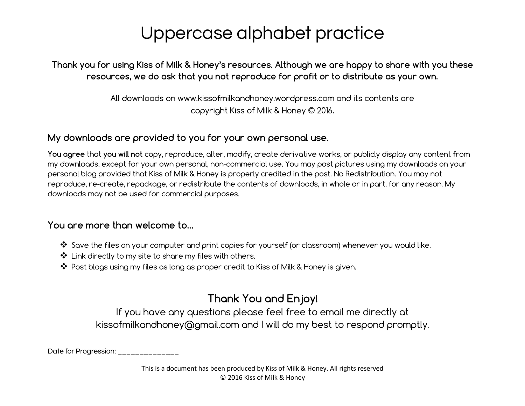Thank you for using Kiss of Milk & Honey's resources. Although we are happy to share with you these resources, we do ask that you not reproduce for profit or to distribute as your own.

> All downloads on www.kissofmilkandhoney.wordpress.com and its contents are copyright Kiss of Milk & Honey © 2016.

#### My downloads are provided to you for your own personal use.

You agree that you will not copy, reproduce, alter, modify, create derivative works, or publicly display any content from my downloads, except for your own personal, non‐commercial use. You may post pictures using my downloads on your personal blog provided that Kiss of Milk & Honey is properly credited in the post. No Redistribution. You may not reproduce, re-create, repackage, or redistribute the contents of downloads, in whole or in part, for any reason. My downloads may not be used for commercial purposes.

#### You are more than welcome to…

- ❖ Save the files on your computer and print copies for yourself (or classroom) whenever you would like.
- ❖ Link directly to my site to share my files with others.
- ❖ Post blogs using my files as long as proper credit to Kiss of Milk & Honey is given.

#### Thank You and Enjoy!

If you have any questions please feel free to email me directly at kissofmilkandhoney@gmail.com and I will do my best to respond promptly.

Date for Progression: \_\_\_\_\_\_\_\_\_\_\_\_\_\_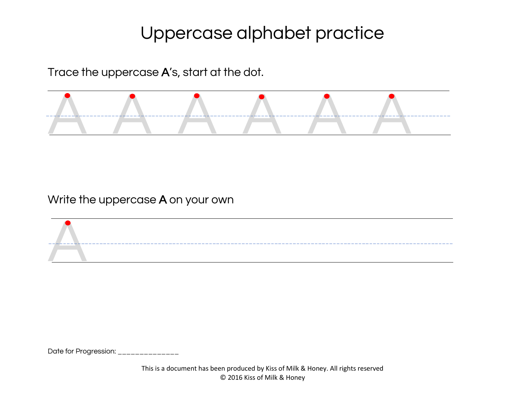Trace the uppercase A's, start at the dot.



Write the uppercase A on your own

A

Date for Progression: \_\_\_\_\_\_\_\_\_\_\_\_\_\_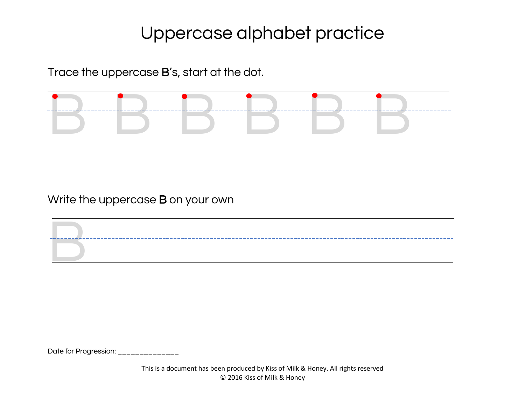Trace the uppercase B's, start at the dot.



Write the uppercase B on your own

Date for Progression: \_\_\_\_\_\_\_\_\_\_\_\_\_\_

B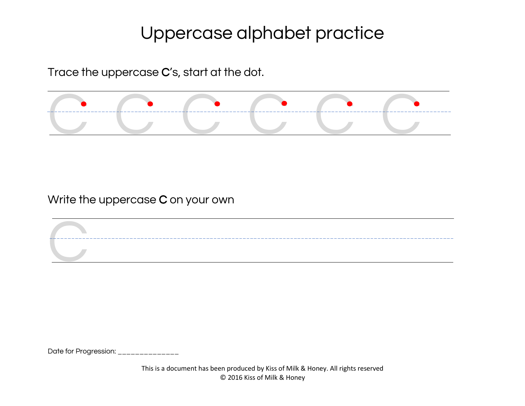Trace the uppercase C's, start at the dot.



Write the uppercase C on your own

Date for Progression: \_\_\_\_\_\_

C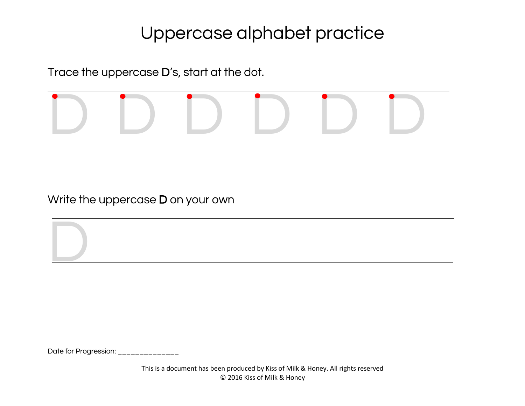Trace the uppercase D's, start at the dot.



Write the uppercase D on your own

Date for Progression: \_\_\_\_\_\_\_\_\_\_\_\_\_\_

D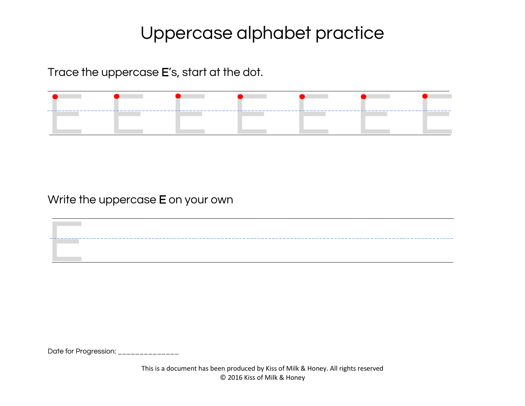Trace the uppercase E's, start at the dot.

|  | $\bullet$ and the contract of the contract of the contract of the contract of the contract of the contract of the contract of the contract of the contract of the contract of the contract of the contract of the contract of the |  |  |
|--|-----------------------------------------------------------------------------------------------------------------------------------------------------------------------------------------------------------------------------------|--|--|
|  |                                                                                                                                                                                                                                   |  |  |
|  |                                                                                                                                                                                                                                   |  |  |
|  |                                                                                                                                                                                                                                   |  |  |

<u> 1980 - Johann Barn, fransk politik (d. 1980)</u>

Write the uppercase E on your own

Date for Progression: \_\_\_\_\_\_\_\_\_\_\_\_\_\_

E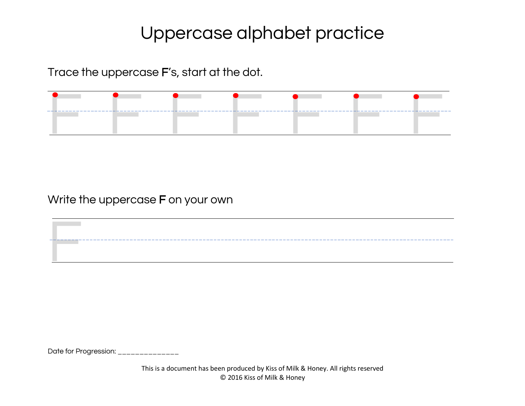Trace the uppercase F's, start at the dot.

Write the uppercase F on your own

Date for Progression: \_\_\_\_\_\_\_\_\_\_\_\_\_\_

F

This is a document has been produced by Kiss of Milk & Honey. All rights reserved © 2016 Kiss of Milk & Honey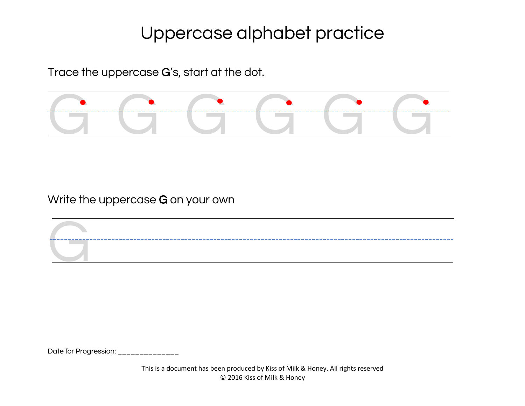Trace the uppercase G's, start at the dot.



Write the uppercase G on your own

G\_\_\_\_\_\_\_\_\_\_\_\_\_\_\_\_\_

Date for Progression: \_\_\_\_\_\_\_\_\_\_\_\_\_\_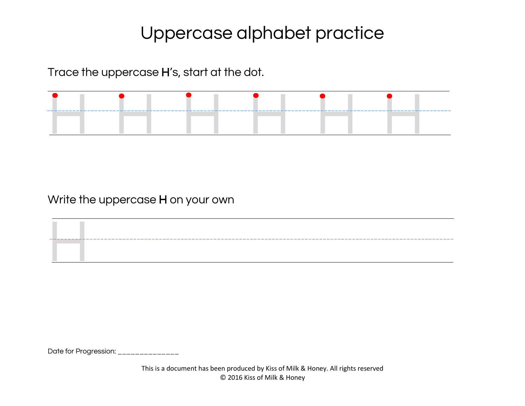Trace the uppercase H's, start at the dot.

Write the uppercase H on your own

Date for Progression: \_\_\_\_\_\_\_\_\_\_\_\_\_\_

H

This is a document has been produced by Kiss of Milk & Honey. All rights reserved © 2016 Kiss of Milk & Honey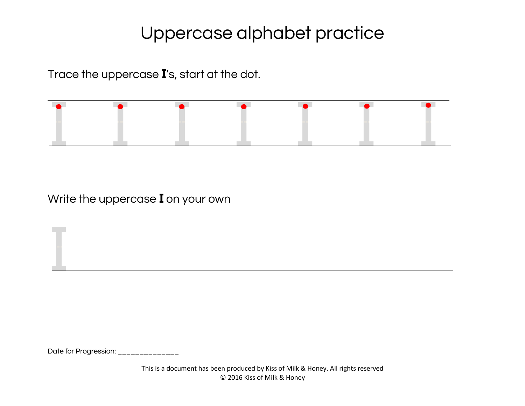Trace the uppercase **I**'s, start at the dot.



Write the uppercase **I** on your own

Date for Progression: \_\_\_\_\_\_\_\_\_\_\_\_\_\_

I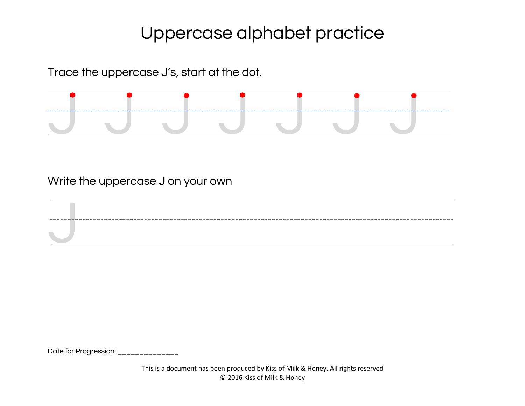Trace the uppercase J's, start at the dot.



Write the uppercase J on your own

Date for Progression: \_\_\_\_\_\_\_\_\_\_\_\_\_\_

J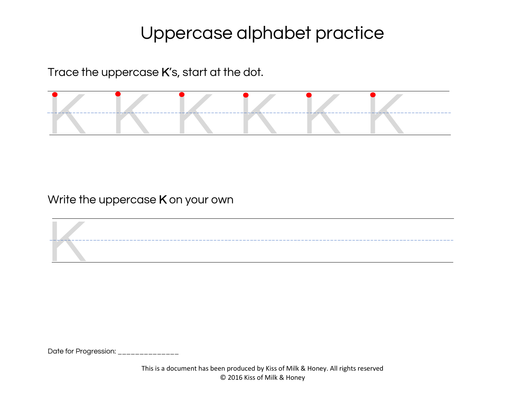Trace the uppercase K's, start at the dot.



Write the uppercase K on your own

K

Date for Progression: \_\_\_\_\_\_\_\_\_\_\_\_\_\_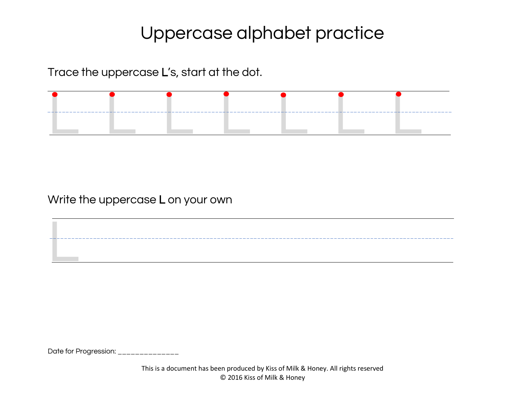Trace the uppercase L's, start at the dot.

Write the uppercase L on your own

Date for Progression: \_\_\_\_\_\_\_\_\_\_\_\_\_\_

L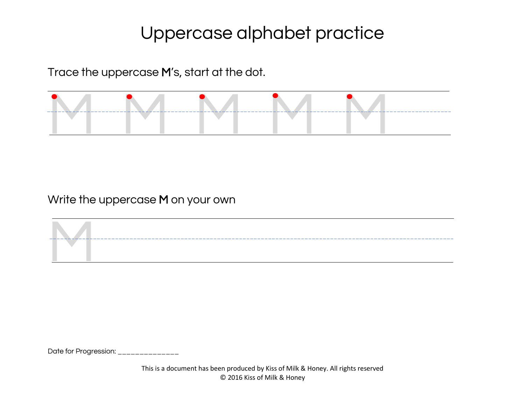Trace the uppercase M's, start at the dot.



Write the uppercase M on your own



Date for Progression: \_\_\_\_\_\_\_\_\_\_\_\_\_\_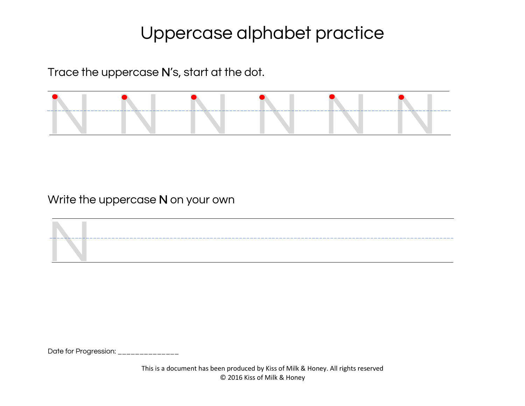Trace the uppercase N's, start at the dot.



Write the uppercase N on your own

Date for Progression: \_\_\_\_\_\_\_\_\_\_\_\_\_\_

N

This is a document has been produced by Kiss of Milk & Honey. All rights reserved © 2016 Kiss of Milk & Honey

\_\_\_\_\_\_\_\_\_\_\_\_\_\_\_\_\_\_\_\_\_\_\_\_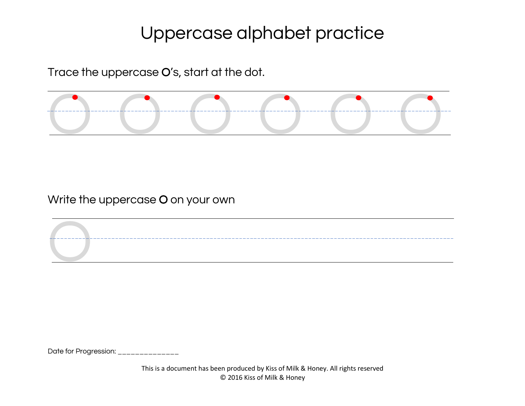Trace the uppercase O's, start at the dot.



Write the uppercase O on your own

Date for Progression: \_\_\_\_\_\_\_\_\_\_\_\_\_\_

O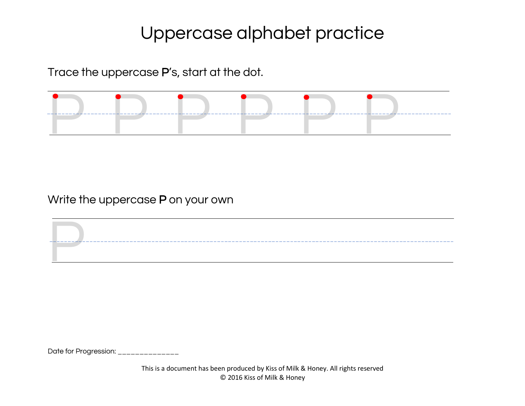Trace the uppercase P's, start at the dot.



Write the uppercase P on your own

Date for Progression: \_\_\_\_\_\_\_\_\_\_\_\_\_\_\_

P

This is a document has been produced by Kiss of Milk & Honey. All rights reserved © 2016 Kiss of Milk & Honey

\_\_\_\_\_\_\_\_\_\_\_\_\_\_\_\_\_\_\_\_\_\_\_\_\_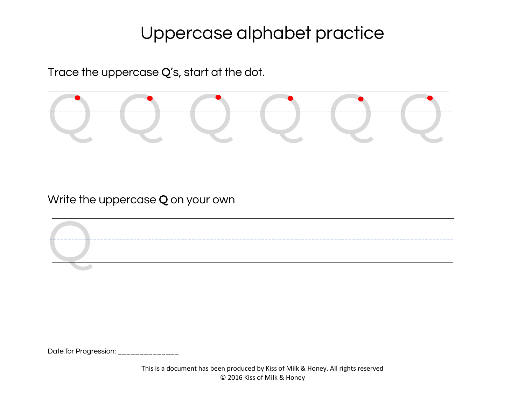Trace the uppercase Q's, start at the dot.



Write the uppercase Q on your own

Q

Date for Progression: \_\_\_\_\_\_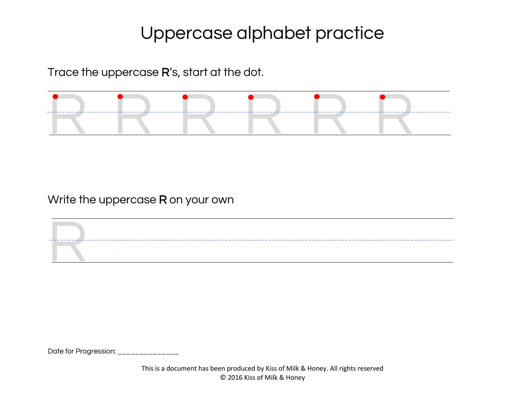Trace the uppercase R's, start at the dot.



Write the uppercase R on your own

R

Date for Progression: \_\_\_\_\_\_\_\_\_\_\_\_\_\_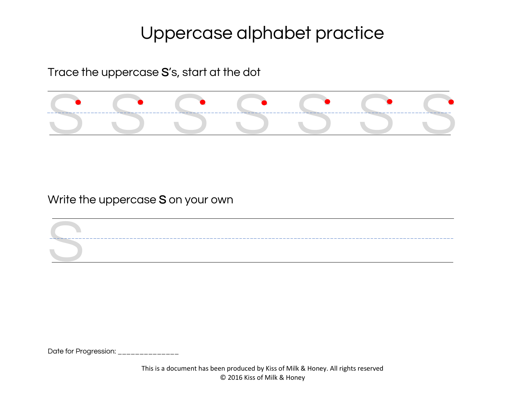Trace the uppercase S's, start at the dot



Write the uppercase S on your own

Date for Progression: \_\_\_\_\_\_\_\_\_\_\_\_\_\_

S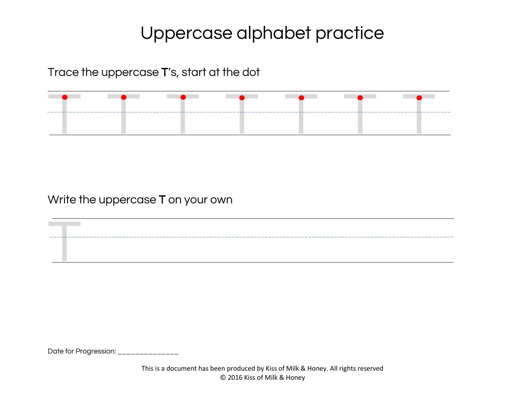Trace the uppercase T's, start at the dot



Write the uppercase T on your own

Date for Progression: \_\_\_\_\_\_\_\_\_\_\_\_\_\_

T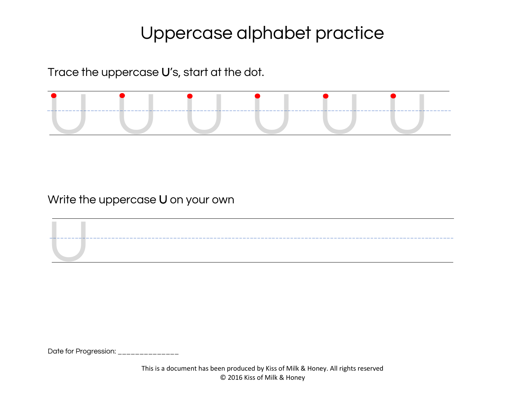Trace the uppercase U's, start at the dot.



Write the uppercase U on your own

Date for Progression: \_\_\_\_\_\_\_\_\_\_\_\_\_\_

U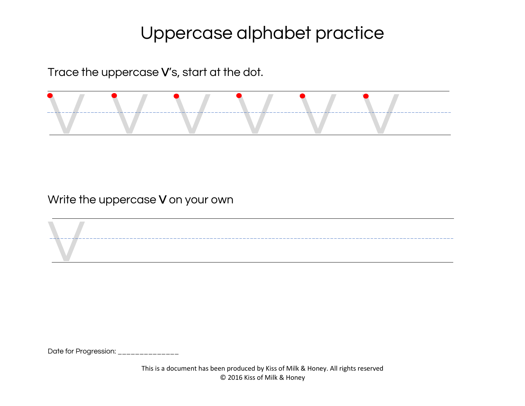Trace the uppercase V's, start at the dot.



Write the uppercase V on your own

Date for Progression: \_\_\_\_\_\_\_\_\_\_\_\_\_\_

V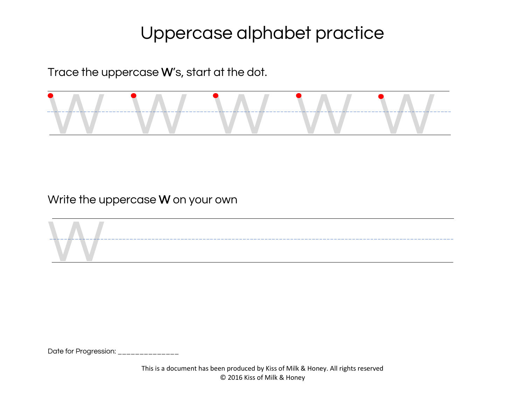Trace the uppercase W's, start at the dot.



Write the uppercase W on your own



Date for Progression: \_\_\_\_\_\_\_\_\_\_\_\_\_\_\_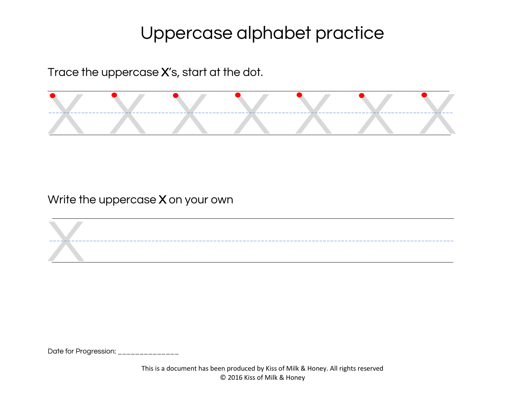Trace the uppercase X's, start at the dot.



Write the uppercase X on your own

Date for Progression: \_\_\_\_\_\_

X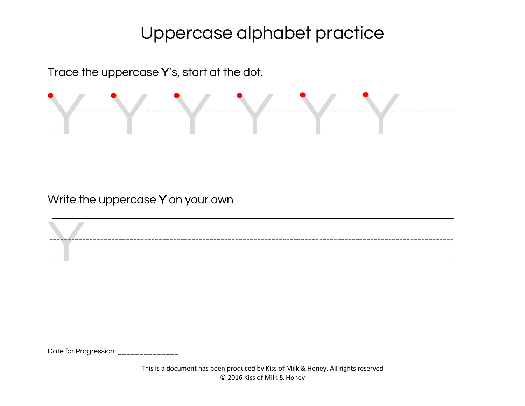Trace the uppercase Y's, start at the dot.



Write the uppercase Y on your own

Date for Progression: \_\_\_\_\_\_\_\_\_\_\_\_\_\_

Y